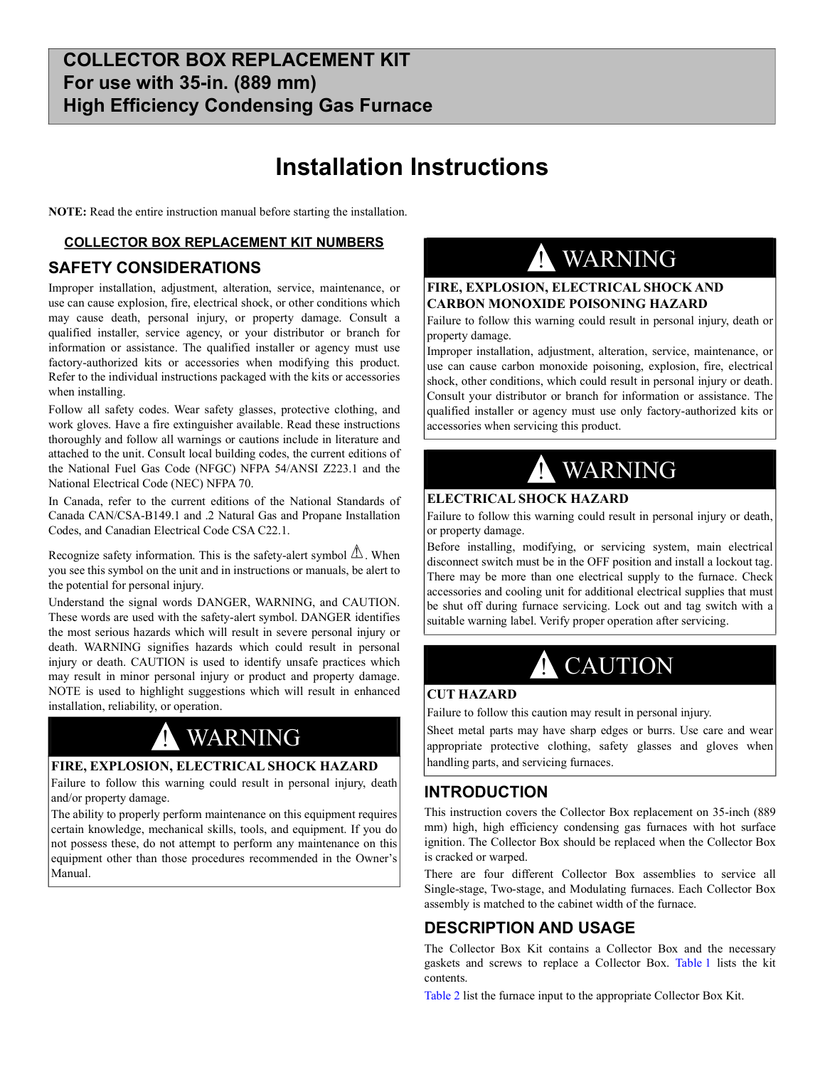## **Installation Instructions**

**NOTE:** Read the entire instruction manual before starting the installation.

#### **COLLECTOR BOX REPLACEMENT KIT NUMBERS**

### **SAFETY CONSIDERATIONS**

Improper installation, adjustment, alteration, service, maintenance, or use can cause explosion, fire, electrical shock, or other conditions which may cause death, personal injury, or property damage. Consult a qualified installer, service agency, or your distributor or branch for information or assistance. The qualified installer or agency must use factory-authorized kits or accessories when modifying this product. Refer to the individual instructions packaged with the kits or accessories when installing.

Follow all safety codes. Wear safety glasses, protective clothing, and work gloves. Have a fire extinguisher available. Read these instructions thoroughly and follow all warnings or cautions include in literature and attached to the unit. Consult local building codes, the current editions of the National Fuel Gas Code (NFGC) NFPA 54/ANSI Z223.1 and the National Electrical Code (NEC) NFPA 70.

In Canada, refer to the current editions of the National Standards of Canada CAN/CSA-B149.1 and .2 Natural Gas and Propane Installation Codes, and Canadian Electrical Code CSA C22.1.

Recognize safety information. This is the safety-alert symbol  $\triangle$ . When you see this symbol on the unit and in instructions or manuals, be alert to the potential for personal injury.

Understand the signal words DANGER, WARNING, and CAUTION. These words are used with the safety-alert symbol. DANGER identifies the most serious hazards which will result in severe personal injury or death. WARNING signifies hazards which could result in personal injury or death. CAUTION is used to identify unsafe practices which may result in minor personal injury or product and property damage. NOTE is used to highlight suggestions which will result in enhanced installation, reliability, or operation.

## **WARNING**

#### **FIRE, EXPLOSION, ELECTRICAL SHOCK HAZARD**

Failure to follow this warning could result in personal injury, death and/or property damage.

The ability to properly perform maintenance on this equipment requires certain knowledge, mechanical skills, tools, and equipment. If you do not possess these, do not attempt to perform any maintenance on this equipment other than those procedures recommended in the Owner's Manual.

## ! WARNING

### **FIRE, EXPLOSION, ELECTRICAL SHOCK AND CARBON MONOXIDE POISONING HAZARD**

Failure to follow this warning could result in personal injury, death or property damage.

Improper installation, adjustment, alteration, service, maintenance, or use can cause carbon monoxide poisoning, explosion, fire, electrical shock, other conditions, which could result in personal injury or death. Consult your distributor or branch for information or assistance. The qualified installer or agency must use only factory-authorized kits or accessories when servicing this product.

# ! WARNING

#### **ELECTRICAL SHOCK HAZARD**

Failure to follow this warning could result in personal injury or death, or property damage.

Before installing, modifying, or servicing system, main electrical disconnect switch must be in the OFF position and install a lockout tag. There may be more than one electrical supply to the furnace. Check accessories and cooling unit for additional electrical supplies that must be shut off during furnace servicing. Lock out and tag switch with a suitable warning label. Verify proper operation after servicing.

# **A** CAUTION

#### **CUT HAZARD**

Failure to follow this caution may result in personal injury.

Sheet metal parts may have sharp edges or burrs. Use care and wear appropriate protective clothing, safety glasses and gloves when handling parts, and servicing furnaces.

## **INTRODUCTION**

This instruction covers the Collector Box replacement on 35-inch (889 mm) high, high efficiency condensing gas furnaces with hot surface ignition. The Collector Box should be replaced when the Collector Box is cracked or warped.

There are four different Collector Box assemblies to service all Single-stage, Two-stage, and Modulating furnaces. Each Collector Box assembly is matched to the cabinet width of the furnace.

## **DESCRIPTION AND USAGE**

The Collector Box Kit contains a Collector Box and the necessary gaskets and screws to replace a Collector Box. [Table](#page-1-0) 1 lists the kit contents.

[Table](#page-1-1) 2 list the furnace input to the appropriate Collector Box Kit.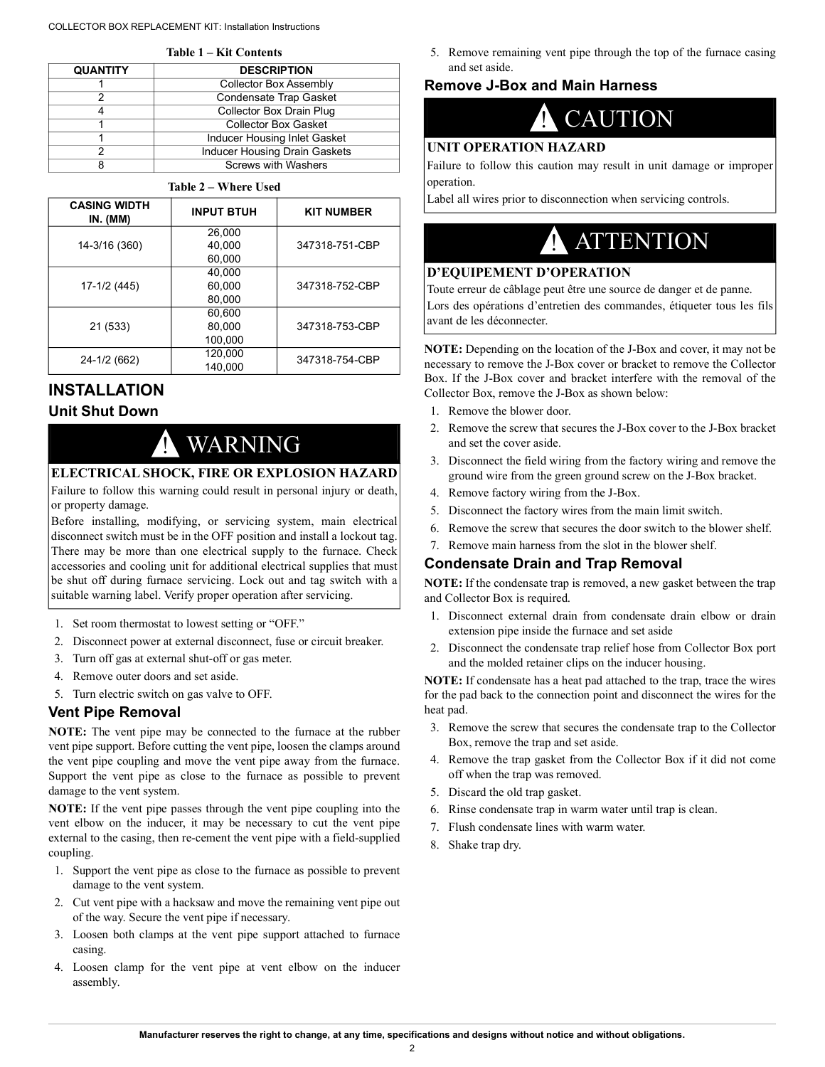#### COLLECTOR BOX REPLACEMENT KIT: Installation Instructions

**Table 1 – Kit Contents**

<span id="page-1-0"></span>

| Table T – Kit Contents |                                      |  |  |
|------------------------|--------------------------------------|--|--|
| <b>QUANTITY</b>        | <b>DESCRIPTION</b>                   |  |  |
|                        | Collector Box Assembly               |  |  |
|                        | <b>Condensate Trap Gasket</b>        |  |  |
|                        | Collector Box Drain Plug             |  |  |
|                        | <b>Collector Box Gasket</b>          |  |  |
|                        | Inducer Housing Inlet Gasket         |  |  |
|                        | <b>Inducer Housing Drain Gaskets</b> |  |  |
|                        | <b>Screws with Washers</b>           |  |  |

#### **Table 2 – Where Used**

<span id="page-1-1"></span>

| <b>CASING WIDTH</b><br><b>IN.</b> (MM) | <b>INPUT BTUH</b> | <b>KIT NUMBER</b> |
|----------------------------------------|-------------------|-------------------|
| 14-3/16 (360)                          | 26,000            |                   |
|                                        | 40.000            | 347318-751-CBP    |
|                                        | 60,000            |                   |
| 17-1/2 (445)                           | 40.000            |                   |
|                                        | 60,000            | 347318-752-CBP    |
|                                        | 80,000            |                   |
| 21 (533)                               | 60.600            |                   |
|                                        | 80,000            | 347318-753-CBP    |
|                                        | 100.000           |                   |
| 24-1/2 (662)                           | 120.000           | 347318-754-CBP    |
|                                        | 140.000           |                   |

## **INSTALLATION Unit Shut Down**

# **WARNING**

## **ELECTRICAL SHOCK, FIRE OR EXPLOSION HAZARD**

Failure to follow this warning could result in personal injury or death, or property damage.

Before installing, modifying, or servicing system, main electrical disconnect switch must be in the OFF position and install a lockout tag. There may be more than one electrical supply to the furnace. Check accessories and cooling unit for additional electrical supplies that must be shut off during furnace servicing. Lock out and tag switch with a suitable warning label. Verify proper operation after servicing.

- 1. Set room thermostat to lowest setting or "OFF."
- 2. Disconnect power at external disconnect, fuse or circuit breaker.
- 3. Turn off gas at external shut-off or gas meter.
- 4. Remove outer doors and set aside.
- 5. Turn electric switch on gas valve to OFF.

### **Vent Pipe Removal**

**NOTE:** The vent pipe may be connected to the furnace at the rubber vent pipe support. Before cutting the vent pipe, loosen the clamps around the vent pipe coupling and move the vent pipe away from the furnace. Support the vent pipe as close to the furnace as possible to prevent damage to the vent system.

**NOTE:** If the vent pipe passes through the vent pipe coupling into the vent elbow on the inducer, it may be necessary to cut the vent pipe external to the casing, then re-cement the vent pipe with a field-supplied coupling.

- 1. Support the vent pipe as close to the furnace as possible to prevent damage to the vent system.
- 2. Cut vent pipe with a hacksaw and move the remaining vent pipe out of the way. Secure the vent pipe if necessary.
- 3. Loosen both clamps at the vent pipe support attached to furnace casing.
- 4. Loosen clamp for the vent pipe at vent elbow on the inducer assembly.

5. Remove remaining vent pipe through the top of the furnace casing and set aside.

#### **Remove J-Box and Main Harness**



#### **UNIT OPERATION HAZARD**

Failure to follow this caution may result in unit damage or improper operation.

Label all wires prior to disconnection when servicing controls.

## **A** ATTENTION

#### **D'EQUIPEMENT D'OPERATION**

Toute erreur de câblage peut être une source de danger et de panne. Lors des opérations d'entretien des commandes, étiqueter tous les fils avant de les déconnecter.

**NOTE:** Depending on the location of the J-Box and cover, it may not be necessary to remove the J-Box cover or bracket to remove the Collector Box. If the J-Box cover and bracket interfere with the removal of the Collector Box, remove the J-Box as shown below:

- 1. Remove the blower door.
- 2. Remove the screw that secures the J-Box cover to the J-Box bracket and set the cover aside.
- 3. Disconnect the field wiring from the factory wiring and remove the ground wire from the green ground screw on the J-Box bracket.
- 4. Remove factory wiring from the J-Box.
- 5. Disconnect the factory wires from the main limit switch.
- 6. Remove the screw that secures the door switch to the blower shelf.
- 7. Remove main harness from the slot in the blower shelf.

## **Condensate Drain and Trap Removal**

**NOTE:** If the condensate trap is removed, a new gasket between the trap and Collector Box is required.

- 1. Disconnect external drain from condensate drain elbow or drain extension pipe inside the furnace and set aside
- 2. Disconnect the condensate trap relief hose from Collector Box port and the molded retainer clips on the inducer housing.

**NOTE:** If condensate has a heat pad attached to the trap, trace the wires for the pad back to the connection point and disconnect the wires for the heat pad.

- 3. Remove the screw that secures the condensate trap to the Collector Box, remove the trap and set aside.
- 4. Remove the trap gasket from the Collector Box if it did not come off when the trap was removed.
- 5. Discard the old trap gasket.
- 6. Rinse condensate trap in warm water until trap is clean.
- 7. Flush condensate lines with warm water.
- 8. Shake trap dry.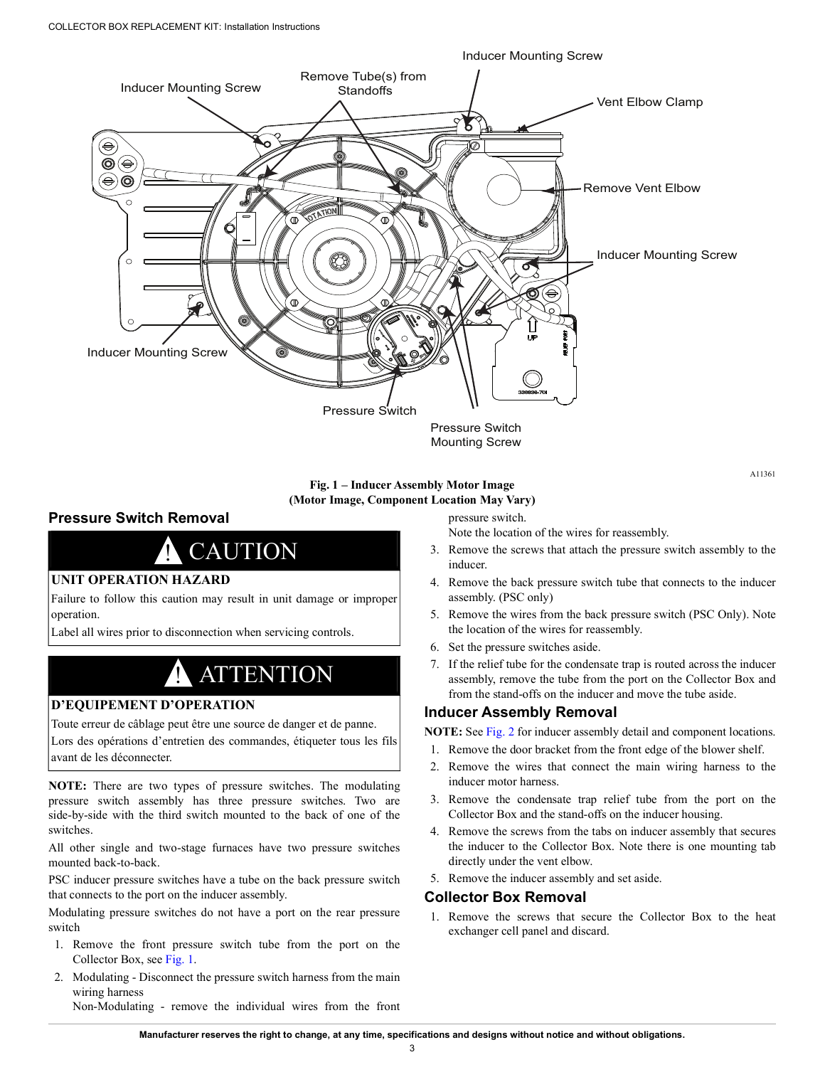

**Fig. 1 – Inducer Assembly Motor Image (Motor Image, Component Location May Vary)**

#### <span id="page-2-0"></span>**Pressure Switch Removal**

# **CAUTION**

#### **UNIT OPERATION HAZARD**

Failure to follow this caution may result in unit damage or improper operation.

Label all wires prior to disconnection when servicing controls.

## **ATTENTION**

## **D'EQUIPEMENT D'OPERATION**

Toute erreur de câblage peut être une source de danger et de panne.

Lors des opérations d'entretien des commandes, étiqueter tous les fils avant de les déconnecter.

**NOTE:** There are two types of pressure switches. The modulating pressure switch assembly has three pressure switches. Two are side-by-side with the third switch mounted to the back of one of the switches.

All other single and two-stage furnaces have two pressure switches mounted back-to-back.

PSC inducer pressure switches have a tube on the back pressure switch that connects to the port on the inducer assembly.

Modulating pressure switches do not have a port on the rear pressure switch

- 1. Remove the front pressure switch tube from the port on the Collector Box, see [Fig.](#page-2-0) 1.
- 2. Modulating Disconnect the pressure switch harness from the main wiring harness

Non-Modulating - remove the individual wires from the front

pressure switch.

Note the location of the wires for reassembly.

3. Remove the screws that attach the pressure switch assembly to the inducer.

A11361

- 4. Remove the back pressure switch tube that connects to the inducer assembly. (PSC only)
- 5. Remove the wires from the back pressure switch (PSC Only). Note the location of the wires for reassembly.
- 6. Set the pressure switches aside.
- 7. If the relief tube for the condensate trap is routed across the inducer assembly, remove the tube from the port on the Collector Box and from the stand-offs on the inducer and move the tube aside.

#### **Inducer Assembly Removal**

**NOTE:** See [Fig.](#page-3-0) 2 for inducer assembly detail and component locations.

- 1. Remove the door bracket from the front edge of the blower shelf.
- 2. Remove the wires that connect the main wiring harness to the inducer motor harness.
- 3. Remove the condensate trap relief tube from the port on the Collector Box and the stand-offs on the inducer housing.
- 4. Remove the screws from the tabs on inducer assembly that secures the inducer to the Collector Box. Note there is one mounting tab directly under the vent elbow.
- 5. Remove the inducer assembly and set aside.

### **Collector Box Removal**

1. Remove the screws that secure the Collector Box to the heat exchanger cell panel and discard.

**Manufacturer reserves the right to change, at any time, specifications and designs without notice and without obligations.**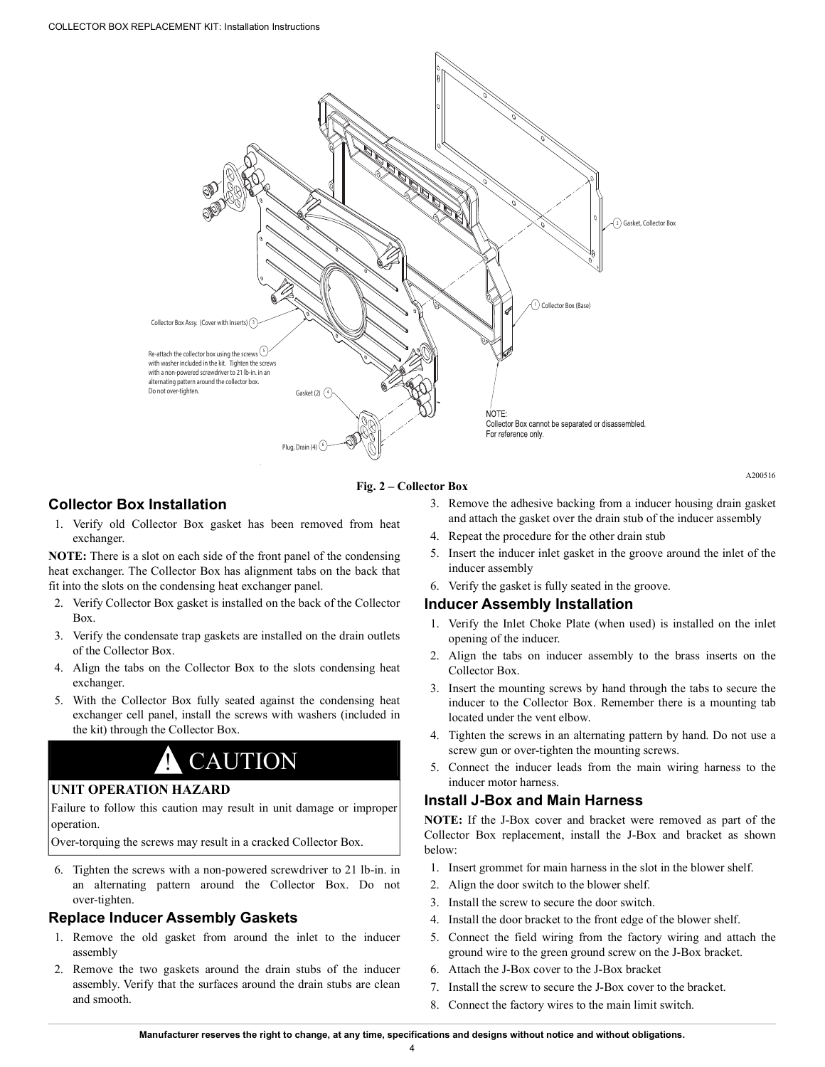

#### **Fig. 2 – Collector Box**

#### <span id="page-3-0"></span>**Collector Box Installation**

1. Verify old Collector Box gasket has been removed from heat exchanger.

**NOTE:** There is a slot on each side of the front panel of the condensing heat exchanger. The Collector Box has alignment tabs on the back that fit into the slots on the condensing heat exchanger panel.

- 2. Verify Collector Box gasket is installed on the back of the Collector Box.
- 3. Verify the condensate trap gaskets are installed on the drain outlets of the Collector Box.
- 4. Align the tabs on the Collector Box to the slots condensing heat exchanger.
- 5. With the Collector Box fully seated against the condensing heat exchanger cell panel, install the screws with washers (included in the kit) through the Collector Box.

# **CAUTION**

#### **UNIT OPERATION HAZARD**

Failure to follow this caution may result in unit damage or improper operation.

Over-torquing the screws may result in a cracked Collector Box.

6. Tighten the screws with a non-powered screwdriver to 21 lb-in. in an alternating pattern around the Collector Box. Do not over-tighten.

#### **Replace Inducer Assembly Gaskets**

- 1. Remove the old gasket from around the inlet to the inducer assembly
- 2. Remove the two gaskets around the drain stubs of the inducer assembly. Verify that the surfaces around the drain stubs are clean and smooth.

3. Remove the adhesive backing from a inducer housing drain gasket and attach the gasket over the drain stub of the inducer assembly

A200516

- 4. Repeat the procedure for the other drain stub
- 5. Insert the inducer inlet gasket in the groove around the inlet of the inducer assembly
- 6. Verify the gasket is fully seated in the groove.

#### **Inducer Assembly Installation**

- 1. Verify the Inlet Choke Plate (when used) is installed on the inlet opening of the inducer.
- 2. Align the tabs on inducer assembly to the brass inserts on the Collector Box.
- 3. Insert the mounting screws by hand through the tabs to secure the inducer to the Collector Box. Remember there is a mounting tab located under the vent elbow.
- 4. Tighten the screws in an alternating pattern by hand. Do not use a screw gun or over-tighten the mounting screws.
- 5. Connect the inducer leads from the main wiring harness to the inducer motor harness.

#### **Install J-Box and Main Harness**

**NOTE:** If the J-Box cover and bracket were removed as part of the Collector Box replacement, install the J-Box and bracket as shown below:

- 1. Insert grommet for main harness in the slot in the blower shelf.
- 2. Align the door switch to the blower shelf.
- 3. Install the screw to secure the door switch.
- 4. Install the door bracket to the front edge of the blower shelf.
- 5. Connect the field wiring from the factory wiring and attach the ground wire to the green ground screw on the J-Box bracket.
- 6. Attach the J-Box cover to the J-Box bracket
- 7. Install the screw to secure the J-Box cover to the bracket.
- 8. Connect the factory wires to the main limit switch.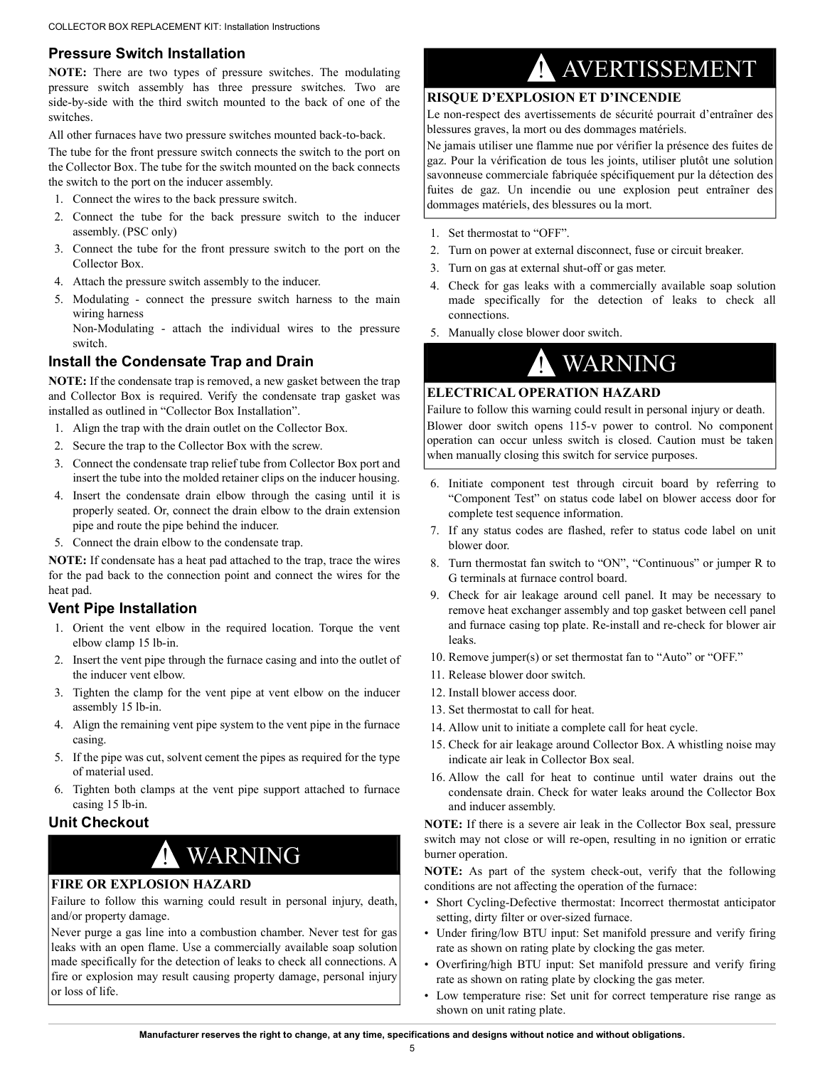## **Pressure Switch Installation**

**NOTE:** There are two types of pressure switches. The modulating pressure switch assembly has three pressure switches. Two are side-by-side with the third switch mounted to the back of one of the switches.

All other furnaces have two pressure switches mounted back-to-back.

The tube for the front pressure switch connects the switch to the port on the Collector Box. The tube for the switch mounted on the back connects the switch to the port on the inducer assembly.

- 1. Connect the wires to the back pressure switch.
- 2. Connect the tube for the back pressure switch to the inducer assembly. (PSC only)
- 3. Connect the tube for the front pressure switch to the port on the Collector Box.
- 4. Attach the pressure switch assembly to the inducer.
- 5. Modulating connect the pressure switch harness to the main wiring harness

Non-Modulating - attach the individual wires to the pressure switch.

## **Install the Condensate Trap and Drain**

**NOTE:** If the condensate trap is removed, a new gasket between the trap and Collector Box is required. Verify the condensate trap gasket was installed as outlined in "Collector Box Installation".

- 1. Align the trap with the drain outlet on the Collector Box.
- 2. Secure the trap to the Collector Box with the screw.
- 3. Connect the condensate trap relief tube from Collector Box port and insert the tube into the molded retainer clips on the inducer housing.
- 4. Insert the condensate drain elbow through the casing until it is properly seated. Or, connect the drain elbow to the drain extension pipe and route the pipe behind the inducer.
- 5. Connect the drain elbow to the condensate trap.

**NOTE:** If condensate has a heat pad attached to the trap, trace the wires for the pad back to the connection point and connect the wires for the heat pad.

## **Vent Pipe Installation**

- 1. Orient the vent elbow in the required location. Torque the vent elbow clamp 15 lb-in.
- 2. Insert the vent pipe through the furnace casing and into the outlet of the inducer vent elbow.
- 3. Tighten the clamp for the vent pipe at vent elbow on the inducer assembly 15 lb-in.
- 4. Align the remaining vent pipe system to the vent pipe in the furnace casing.
- 5. If the pipe was cut, solvent cement the pipes as required for the type of material used.
- 6. Tighten both clamps at the vent pipe support attached to furnace casing 15 lb-in.

### **Unit Checkout**

## ! WARNING

## **FIRE OR EXPLOSION HAZARD**

Failure to follow this warning could result in personal injury, death, and/or property damage.

Never purge a gas line into a combustion chamber. Never test for gas leaks with an open flame. Use a commercially available soap solution made specifically for the detection of leaks to check all connections. A fire or explosion may result causing property damage, personal injury or loss of life.

# ! AVERTISSEMENT

#### **RISQUE D'EXPLOSION ET D'INCENDIE**

Le non-respect des avertissements de sécurité pourrait d'entraîner des blessures graves, la mort ou des dommages matériels.

Ne jamais utiliser une flamme nue por vérifier la présence des fuites de gaz. Pour la vérification de tous les joints, utiliser plutôt une solution savonneuse commerciale fabriquée spécifiquement pur la détection des fuites de gaz. Un incendie ou une explosion peut entraîner des dommages matériels, des blessures ou la mort.

- 1. Set thermostat to "OFF".
- 2. Turn on power at external disconnect, fuse or circuit breaker.
- 3. Turn on gas at external shut-off or gas meter.
- 4. Check for gas leaks with a commercially available soap solution made specifically for the detection of leaks to check all connections.
- 5. Manually close blower door switch.

## ! WARNING

## **ELECTRICAL OPERATION HAZARD**

Failure to follow this warning could result in personal injury or death. Blower door switch opens 115-v power to control. No component operation can occur unless switch is closed. Caution must be taken when manually closing this switch for service purposes.

- 6. Initiate component test through circuit board by referring to "Component Test" on status code label on blower access door for complete test sequence information.
- 7. If any status codes are flashed, refer to status code label on unit blower door.
- 8. Turn thermostat fan switch to "ON", "Continuous" or jumper R to G terminals at furnace control board.
- 9. Check for air leakage around cell panel. It may be necessary to remove heat exchanger assembly and top gasket between cell panel and furnace casing top plate. Re-install and re-check for blower air leaks.
- 10. Remove jumper(s) or set thermostat fan to "Auto" or "OFF."
- 11. Release blower door switch.
- 12. Install blower access door.
- 13. Set thermostat to call for heat.
- 14. Allow unit to initiate a complete call for heat cycle.
- 15. Check for air leakage around Collector Box. A whistling noise may indicate air leak in Collector Box seal.
- 16. Allow the call for heat to continue until water drains out the condensate drain. Check for water leaks around the Collector Box and inducer assembly.

**NOTE:** If there is a severe air leak in the Collector Box seal, pressure switch may not close or will re-open, resulting in no ignition or erratic burner operation.

**NOTE:** As part of the system check-out, verify that the following conditions are not affecting the operation of the furnace:

- Short Cycling-Defective thermostat: Incorrect thermostat anticipator setting, dirty filter or over-sized furnace.
- Under firing/low BTU input: Set manifold pressure and verify firing rate as shown on rating plate by clocking the gas meter.
- Overfiring/high BTU input: Set manifold pressure and verify firing rate as shown on rating plate by clocking the gas meter.
- Low temperature rise: Set unit for correct temperature rise range as shown on unit rating plate.